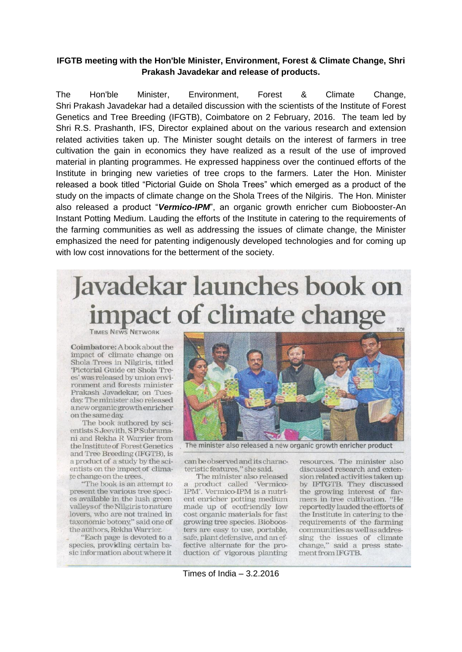## **IFGTB meeting with the Hon'ble Minister, Environment, Forest & Climate Change, Shri** Prakash Javadekar and release of products.

Environment. **The** Hon'hle Minister. Forest  $\boldsymbol{\mathsf{R}}$ Climate Change, Shri Prakash Javadekar had a detailed discussion with the scientists of the Institute of Forest Genetics and Tree Breeding (IFGTB), Coimbatore on 2 February, 2016. The team led by Shri R.S. Prashanth, IFS, Director explained about on the various research and extension related activities taken up. The Minister sought details on the interest of farmers in tree cultivation the gain in economics they have realized as a result of the use of improved material in planting programmes. He expressed happiness over the continued efforts of the Institute in bringing new varieties of tree crops to the farmers. Later the Hon. Minister released a book titled "Pictorial Guide on Shola Trees" which emerged as a product of the study on the impacts of climate change on the Shola Trees of the Nilgiris. The Hon. Minister also released a product "Vermico-IPM", an organic growth enricher cum Biobooster-An Instant Potting Medium. Lauding the efforts of the Institute in catering to the requirements of the farming communities as well as addressing the issues of climate change, the Minister emphasized the need for patenting indigenously developed technologies and for coming up with low cost innovations for the betterment of the society.

## **Javadekar launches book on pact of climate change**

**TIMES NEWS NETWORK** 

Coimbatore: A book about the impact of climate change on Shola Trees in Nilgiris, titled 'Pictorial Guide on Shola Trees' was released by union environment and forests minister Prakash Javadekar, on Tuesday. The minister also released a new organic growth enricher on the same day.

The book authored by scientists S Jeevith, S P Subramani and Rekha R Warrier from the Institute of Forest Genetics and Tree Breeding (IFGTB), is a product of a study by the scientists on the impact of climate change on the trees.

"The book is an attempt to present the various tree species available in the lush green valleys of the Nilgiris to nature lovers, who are not trained in taxonomic botony," said one of the authors, Rekha Warrier.

"Each page is devoted to a species, providing certain basic information about where it



The minister also released a new organic growth enricher product

can be observed and its characteristic features," she said.

The minister also released a product called 'Vermico-IPM'. Vermico-IPM is a nutrient enricher potting medium made up of ecofriendly low cost organic materials for fast growing tree species. Bioboosters are easy to use, portable, safe, plant defensive, and an effective alternate for the production of vigorous planting

resources. The minister also discussed research and extension related activities taken up by IFTGTB. They discussed the growing interest of farmers in tree cultivation. "He reportedly lauded the efforts of the Institute in catering to the requirements of the farming communities as well as addressing the issues of climate change," said a press statement from IFGTB.

Times of India  $-3.2.2016$